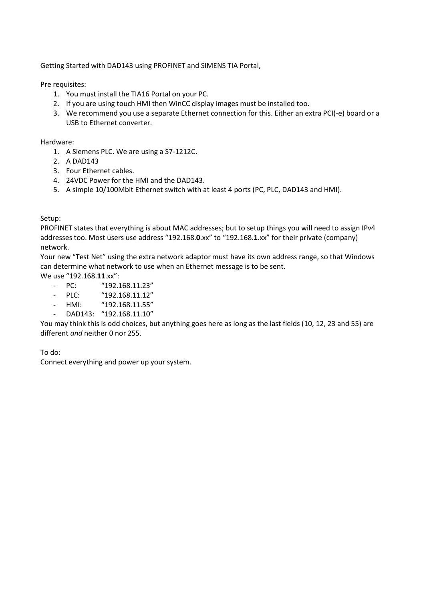Getting Started with DAD143 using PROFINET and SIMENS TIA Portal,

Pre requisites:

- 1. You must install the TIA16 Portal on your PC.
- 2. If you are using touch HMI then WinCC display images must be installed too.
- 3. We recommend you use a separate Ethernet connection for this. Either an extra PCI(-e) board or a USB to Ethernet converter.

Hardware:

- 1. A Siemens PLC. We are using a S7-1212C.
- 2. A DAD143
- 3. Four Ethernet cables.
- 4. 24VDC Power for the HMI and the DAD143.
- 5. A simple 10/100Mbit Ethernet switch with at least 4 ports (PC, PLC, DAD143 and HMI).

Setup:

PROFINET states that everything is about MAC addresses; but to setup things you will need to assign IPv4 addresses too. Most users use address "192.168.**0**.xx" to "192.168.**1**.xx" for their private (company) network.

Your new "Test Net" using the extra network adaptor must have its own address range, so that Windows can determine what network to use when an Ethernet message is to be sent.

We use "192.168.**11**.xx":

- PC: "192.168.11.23"
- PLC: "192.168.11.12"
- HMI: "192.168.11.55"
- DAD143: "192.168.11.10"

You may think this is odd choices, but anything goes here as long as the last fields (10, 12, 23 and 55) are different *and* neither 0 nor 255.

To do:

Connect everything and power up your system.